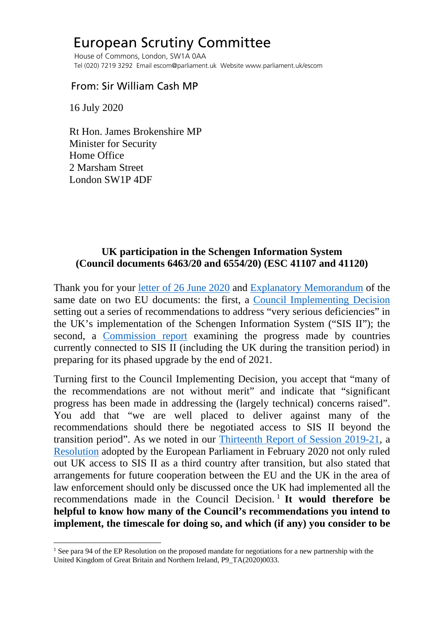# European Scrutiny Committee

 House of Commons, London, SW1A 0AA Tel (020) 7219 3292 Email escom@parliament.uk Website www.parliament.uk/escom

## From: Sir William Cash MP

16 July 2020

 Rt Hon. James Brokenshire MP Minister for Security Home Office 2 Marsham Street London SW1P 4DF

## **UK participation in the Schengen Information System (Council documents 6463/20 and 6554/20) (ESC 41107 and 41120)**

Thank you for your [letter of 26 June 2020](http://europeanmemoranda.cabinetoffice.gov.uk/files/2020/06/Letter_to_Sir_William_Cash_MP_-_Council_documents_6463_20_6554_20.pdf) and [Explanatory Memorandum](http://europeanmemoranda.cabinetoffice.gov.uk/files/2020/06/EM_6463_20_-_6554_201.pdf) of the same date on two EU documents: the first, a [Council Implementing Decision](http://europeanmemoranda.cabinetoffice.gov.uk/files/2020/03/ST_6554_2020_INIT_EN.pdf) setting out a series of recommendations to address "very serious deficiencies" in the UK's implementation of the Schengen Information System ("SIS II"); the second, a [Commission report](http://europeanmemoranda.cabinetoffice.gov.uk/files/2020/03/ST_6463_2020_INIT_EN.pdf) examining the progress made by countries currently connected to SIS II (including the UK during the transition period) in preparing for its phased upgrade by the end of 2021.

Turning first to the Council Implementing Decision, you accept that "many of the recommendations are not without merit" and indicate that "significant progress has been made in addressing the (largely technical) concerns raised". You add that "we are well placed to deliver against many of the recommendations should there be negotiated access to SIS II beyond the transition period". As we noted in our [Thirteenth Report of Session 2019-21,](https://publications.parliament.uk/pa/cm5801/cmselect/cmeuleg/229-ix/22912.htm#_idTextAnchor021) a [Resolution](https://www.europarl.europa.eu/doceo/document/TA-9-2020-0033_EN.pdf) adopted by the European Parliament in February 2020 not only ruled out UK access to SIS II as a third country after transition, but also stated that arrangements for future cooperation between the EU and the UK in the area of law enforcement should only be discussed once the UK had implemented all the recommendations made in the Council Decision.<sup>[1](#page-0-0)</sup> It would therefore be **helpful to know how many of the Council's recommendations you intend to implement, the timescale for doing so, and which (if any) you consider to be** 

<span id="page-0-0"></span><sup>&</sup>lt;sup>1</sup> See para 94 of the EP Resolution on the proposed mandate for negotiations for a new partnership with the United Kingdom of Great Britain and Northern Ireland, P9\_TA(2020)0033.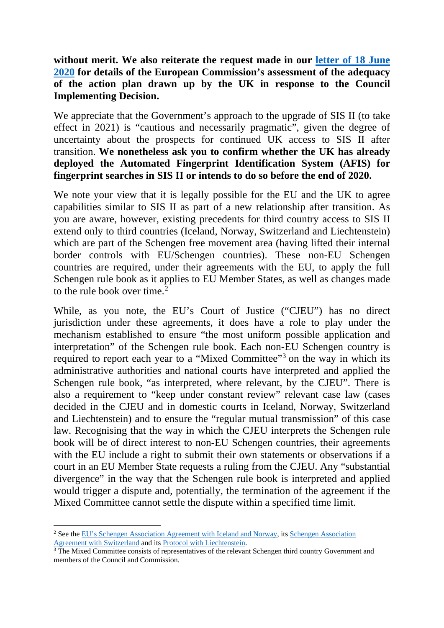### **without merit. We also reiterate the request made in our [letter of 18 June](https://committees.parliament.uk/publications/1563/documents/14847/default/)  [2020](https://committees.parliament.uk/publications/1563/documents/14847/default/) for details of the European Commission's assessment of the adequacy of the action plan drawn up by the UK in response to the Council Implementing Decision.**

We appreciate that the Government's approach to the upgrade of SIS II (to take effect in 2021) is "cautious and necessarily pragmatic", given the degree of uncertainty about the prospects for continued UK access to SIS II after transition. **We nonetheless ask you to confirm whether the UK has already deployed the Automated Fingerprint Identification System (AFIS) for fingerprint searches in SIS II or intends to do so before the end of 2020.**

We note your view that it is legally possible for the EU and the UK to agree capabilities similar to SIS II as part of a new relationship after transition. As you are aware, however, existing precedents for third country access to SIS II extend only to third countries (Iceland, Norway, Switzerland and Liechtenstein) which are part of the Schengen free movement area (having lifted their internal border controls with EU/Schengen countries). These non-EU Schengen countries are required, under their agreements with the EU, to apply the full Schengen rule book as it applies to EU Member States, as well as changes made to the rule book over time. $2$ 

While, as you note, the EU's Court of Justice ("CJEU") has no direct jurisdiction under these agreements, it does have a role to play under the mechanism established to ensure "the most uniform possible application and interpretation" of the Schengen rule book. Each non-EU Schengen country is required to report each year to a "Mixed Committee"<sup>[3](#page-1-1)</sup> on the way in which its administrative authorities and national courts have interpreted and applied the Schengen rule book, "as interpreted, where relevant, by the CJEU". There is also a requirement to "keep under constant review" relevant case law (cases decided in the CJEU and in domestic courts in Iceland, Norway, Switzerland and Liechtenstein) and to ensure the "regular mutual transmission" of this case law. Recognising that the way in which the CJEU interprets the Schengen rule book will be of direct interest to non-EU Schengen countries, their agreements with the EU include a right to submit their own statements or observations if a court in an EU Member State requests a ruling from the CJEU. Any "substantial divergence" in the way that the Schengen rule book is interpreted and applied would trigger a dispute and, potentially, the termination of the agreement if the Mixed Committee cannot settle the dispute within a specified time limit.

<span id="page-1-0"></span><sup>&</sup>lt;sup>2</sup> See the [EU's Schengen Association Agreement with Iceland and Norway,](https://eur-lex.europa.eu/resource.html?uri=cellar:d7302396-8e0e-4a5a-a460-e7a214f0935f.0008.02/DOC_1&format=PDF) its [Schengen Association](https://eur-lex.europa.eu/LexUriServ/LexUriServ.do?uri=OJ%3AL%3A2008%3A053%3A0052%3A0079%3AEN%3APDF) Agreement with Switzerland and its Protocol with Liechtenstein.

<span id="page-1-1"></span> $\frac{3}{3}$  The Mixed Committee consists of representatives of the relevant Schengen third country Government and members of the Council and Commission.